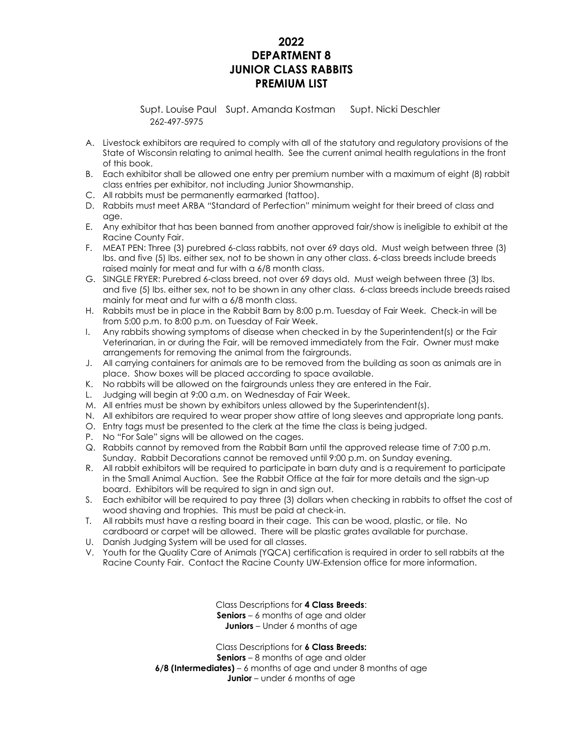# **2022 DEPARTMENT 8 JUNIOR CLASS RABBITS PREMIUM LIST**

Supt. Louise Paul Supt. Amanda Kostman Supt. Nicki Deschler 262-497-5975

- A. Livestock exhibitors are required to comply with all of the statutory and regulatory provisions of the State of Wisconsin relating to animal health. See the current animal health regulations in the front of this book.
- B. Each exhibitor shall be allowed one entry per premium number with a maximum of eight (8) rabbit class entries per exhibitor, not including Junior Showmanship.
- C. All rabbits must be permanently earmarked (tattoo).
- D. Rabbits must meet ARBA "Standard of Perfection" minimum weight for their breed of class and age.
- E. Any exhibitor that has been banned from another approved fair/show is ineligible to exhibit at the Racine County Fair.
- F. MEAT PEN: Three (3) purebred 6-class rabbits, not over 69 days old. Must weigh between three (3) lbs. and five (5) lbs. either sex, not to be shown in any other class. 6-class breeds include breeds raised mainly for meat and fur with a 6/8 month class.
- G. SINGLE FRYER: Purebred 6-class breed, not over 69 days old. Must weigh between three (3) lbs. and five (5) lbs. either sex, not to be shown in any other class. 6-class breeds include breeds raised mainly for meat and fur with a 6/8 month class.
- H. Rabbits must be in place in the Rabbit Barn by 8:00 p.m. Tuesday of Fair Week. Check-in will be from 5:00 p.m. to 8:00 p.m. on Tuesday of Fair Week.
- I. Any rabbits showing symptoms of disease when checked in by the Superintendent(s) or the Fair Veterinarian, in or during the Fair, will be removed immediately from the Fair. Owner must make arrangements for removing the animal from the fairgrounds.
- J. All carrying containers for animals are to be removed from the building as soon as animals are in place. Show boxes will be placed according to space available.
- K. No rabbits will be allowed on the fairgrounds unless they are entered in the Fair.
- L. Judging will begin at 9:00 a.m. on Wednesday of Fair Week.
- M. All entries must be shown by exhibitors unless allowed by the Superintendent(s).
- N. All exhibitors are required to wear proper show attire of long sleeves and appropriate long pants.
- O. Entry tags must be presented to the clerk at the time the class is being judged.
- P. No "For Sale" signs will be allowed on the cages.
- Q. Rabbits cannot by removed from the Rabbit Barn until the approved release time of 7:00 p.m. Sunday. Rabbit Decorations cannot be removed until 9:00 p.m. on Sunday evening.
- R. All rabbit exhibitors will be required to participate in barn duty and is a requirement to participate in the Small Animal Auction. See the Rabbit Office at the fair for more details and the sign-up board. Exhibitors will be required to sign in and sign out.
- S. Each exhibitor will be required to pay three (3) dollars when checking in rabbits to offset the cost of wood shaving and trophies. This must be paid at check-in.
- T. All rabbits must have a resting board in their cage. This can be wood, plastic, or tile. No cardboard or carpet will be allowed. There will be plastic grates available for purchase.
- U. Danish Judging System will be used for all classes.
- V. Youth for the Quality Care of Animals (YQCA) certification is required in order to sell rabbits at the Racine County Fair. Contact the Racine County UW-Extension office for more information.

Class Descriptions for **4 Class Breeds**: **Seniors** – 6 months of age and older **Juniors** – Under 6 months of age

Class Descriptions for **6 Class Breeds: Seniors** – 8 months of age and older **6/8 (Intermediates)** – 6 months of age and under 8 months of age **Junior** – under 6 months of age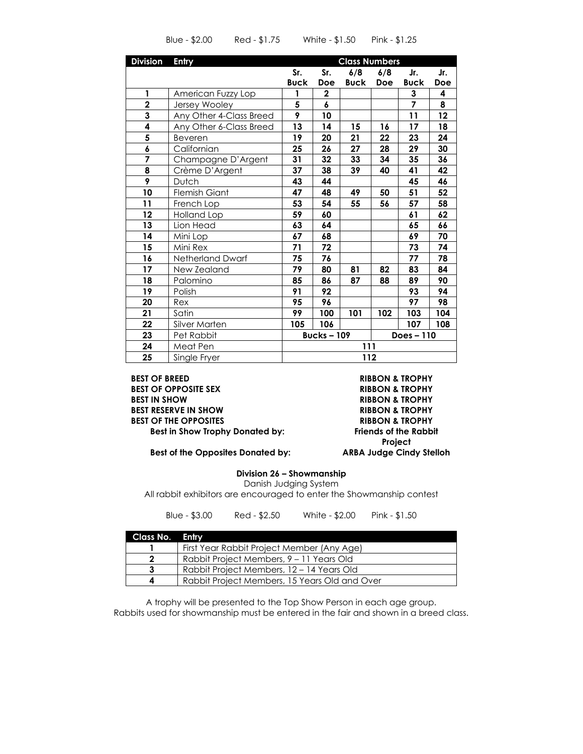| <b>Division</b>         | <b>Entry</b>            | <b>Class Numbers</b>            |             |             |     |                |                   |
|-------------------------|-------------------------|---------------------------------|-------------|-------------|-----|----------------|-------------------|
|                         |                         | Sr.                             | Sr.         | 6/8         | 6/8 | Jr.            | Jr.               |
|                         |                         | <b>Buck</b>                     | Doe         | <b>Buck</b> | Doe | <b>Buck</b>    | Doe               |
| 1                       | American Fuzzy Lop      | 1                               | $\mathbf 2$ |             |     | 3              | 4                 |
| $\overline{2}$          | Jersey Wooley           | 5                               | 6           |             |     | $\overline{7}$ | 8                 |
| $\overline{\mathbf{3}}$ | Any Other 4-Class Breed | 9                               | 10          |             |     | 11             | $12 \overline{ }$ |
| 4                       | Any Other 6-Class Breed | 13                              | 14          | 15          | 16  | 17             | 18                |
| 5                       | Beveren                 | 19                              | 20          | 21          | 22  | 23             | 24                |
| 6                       | Californian             | 25                              | 26          | 27          | 28  | 29             | 30                |
| 7                       | Champagne D'Argent      | 31                              | 32          | 33          | 34  | 35             | 36                |
| 8                       | Crème D'Argent          | 37                              | 38          | 39          | 40  | 41             | 42                |
| 9                       | Dutch                   | 43                              | 44          |             |     | 45             | 46                |
| 10                      | <b>Flemish Giant</b>    | 47                              | 48          | 49          | 50  | 51             | 52                |
| 11                      | French Lop              | 53                              | 54          | 55          | 56  | 57             | 58                |
| 12                      | Holland Lop             | 59                              | 60          |             |     | 61             | 62                |
| 13                      | Lion Head               | 63                              | 64          |             |     | 65             | 66                |
| 14                      | Mini Lop                | 67                              | 68          |             |     | 69             | 70                |
| 15                      | Mini Rex                | 71                              | 72          |             |     | 73             | 74                |
| 16                      | Netherland Dwarf        | 75                              | 76          |             |     | 77             | 78                |
| 17                      | New Zealand             | 79                              | 80          | 81          | 82  | 83             | 84                |
| 18                      | Palomino                | 85                              | 86          | 87          | 88  | 89             | 90                |
| 19                      | Polish                  | 91                              | 92          |             |     | 93             | 94                |
| 20                      | Rex                     | 95                              | 96          |             |     | 97             | 98                |
| 21                      | Satin                   | 99                              | 100         | 101         | 102 | 103            | 104               |
| 22                      | Silver Marten           | 105                             | 106         |             |     | 107            | 108               |
| 23                      | Pet Rabbit              | <b>Bucks-109</b><br>Does $-110$ |             |             |     |                |                   |
| 24                      | Meat Pen                | 111                             |             |             |     |                |                   |
| 25                      | Single Fryer            | 112                             |             |             |     |                |                   |

Blue - \$2.00 Red - \$1.75 White - \$1.50 Pink - \$1.25

**BEST OF BREED RIBBON & TROPHY BEST OF OPPOSITE SEX RIBBON & TROPHY BEST IN SHOW RIBBON & TROPHY BEST RESERVE IN SHOW RIBBON & TROPHY BEST OF THE OPPOSITES RIBBON & TROPHY Best in Show Trophy Donated by: Friends of the Rabbit** 

**Project**

 **Best of the Opposites Donated by: ARBA Judge Cindy Stelloh**

**Division 26 – Showmanship**

Danish Judging System

All rabbit exhibitors are encouraged to enter the Showmanship contest

| Class No. Entry |                                               |
|-----------------|-----------------------------------------------|
|                 | First Year Rabbit Project Member (Any Age)    |
|                 | Rabbit Project Members, 9 – 11 Years Old      |
|                 | Rabbit Project Members, 12 – 14 Years Old     |
|                 | Rabbit Project Members, 15 Years Old and Over |

Blue - \$3.00 Red - \$2.50 White - \$2.00 Pink - \$1.50

A trophy will be presented to the Top Show Person in each age group. Rabbits used for showmanship must be entered in the fair and shown in a breed class.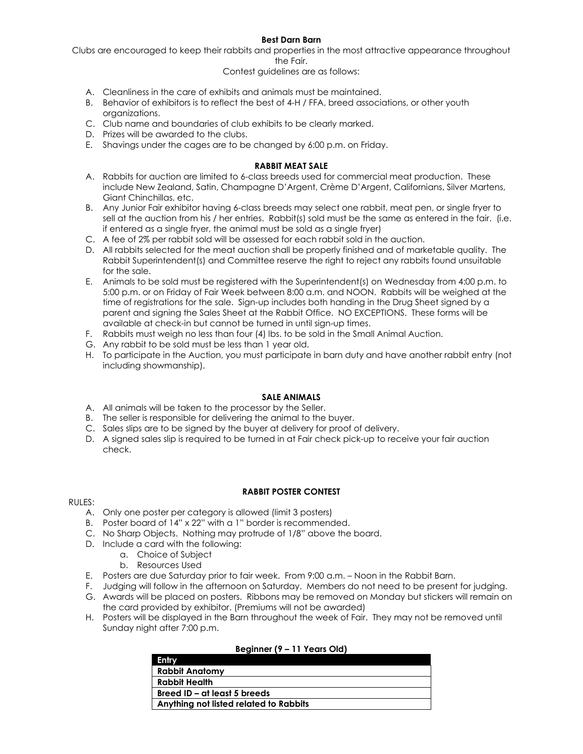## **Best Darn Barn**

Clubs are encouraged to keep their rabbits and properties in the most attractive appearance throughout the Fair.

### Contest guidelines are as follows:

- A. Cleanliness in the care of exhibits and animals must be maintained.
- B. Behavior of exhibitors is to reflect the best of 4-H / FFA, breed associations, or other youth organizations.
- C. Club name and boundaries of club exhibits to be clearly marked.
- D. Prizes will be awarded to the clubs.
- E. Shavings under the cages are to be changed by 6:00 p.m. on Friday.

### **RABBIT MEAT SALE**

- A. Rabbits for auction are limited to 6-class breeds used for commercial meat production. These include New Zealand, Satin, Champagne D'Argent, Crème D'Argent, Californians, Silver Martens, Giant Chinchillas, etc.
- B. Any Junior Fair exhibitor having 6-class breeds may select one rabbit, meat pen, or single fryer to sell at the auction from his / her entries. Rabbit(s) sold must be the same as entered in the fair. (i.e. if entered as a single fryer, the animal must be sold as a single fryer)
- C. A fee of 2% per rabbit sold will be assessed for each rabbit sold in the auction.
- D. All rabbits selected for the meat auction shall be properly finished and of marketable quality. The Rabbit Superintendent(s) and Committee reserve the right to reject any rabbits found unsuitable for the sale.
- E. Animals to be sold must be registered with the Superintendent(s) on Wednesday from 4:00 p.m. to 5:00 p.m. or on Friday of Fair Week between 8:00 a.m. and NOON. Rabbits will be weighed at the time of registrations for the sale. Sign-up includes both handing in the Drug Sheet signed by a parent and signing the Sales Sheet at the Rabbit Office. NO EXCEPTIONS. These forms will be available at check-in but cannot be turned in until sign-up times.
- F. Rabbits must weigh no less than four (4) lbs. to be sold in the Small Animal Auction.
- G. Any rabbit to be sold must be less than 1 year old.
- H. To participate in the Auction, you must participate in barn duty and have another rabbit entry (not including showmanship).

#### **SALE ANIMALS**

- A. All animals will be taken to the processor by the Seller.
- B. The seller is responsible for delivering the animal to the buyer.
- C. Sales slips are to be signed by the buyer at delivery for proof of delivery.
- D. A signed sales slip is required to be turned in at Fair check pick-up to receive your fair auction check.

#### RULES:

- **RABBIT POSTER CONTEST**
- A. Only one poster per category is allowed (limit 3 posters)
- B. Poster board of 14" x 22" with a 1" border is recommended.
- C. No Sharp Objects. Nothing may protrude of 1/8" above the board.
- D. Include a card with the following:
	- a. Choice of Subject
		- b. Resources Used
- E. Posters are due Saturday prior to fair week. From 9:00 a.m. Noon in the Rabbit Barn.
- F. Judging will follow in the afternoon on Saturday. Members do not need to be present for judging.
- G. Awards will be placed on posters. Ribbons may be removed on Monday but stickers will remain on the card provided by exhibitor. (Premiums will not be awarded)
- H. Posters will be displayed in the Barn throughout the week of Fair. They may not be removed until Sunday night after 7:00 p.m.

## **Beginner (9 – 11 Years Old)**